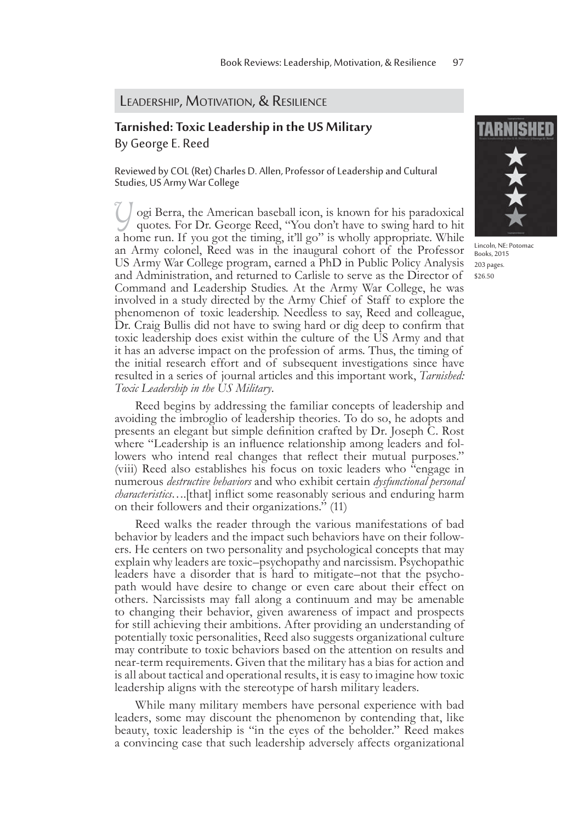## LEADERSHIP, MOTIVATION, & RESILIENCE

## **Tarnished: Toxic Leadership in the US Military** By George E. Reed

Reviewed by COL (Ret) Charles D. Allen, Professor of Leadership and Cultural Studies, US Army War College

Yogi Berra, the American baseball icon, is known for his paradoxical quotes. For Dr. George Reed, "You don't have to swing hard to hit a home run. If you got the timing, it'll go" is wholly appropriate. While an Army colonel, Reed was in the inaugural cohort of the Professor US Army War College program, earned a PhD in Public Policy Analysis and Administration, and returned to Carlisle to serve as the Director of Command and Leadership Studies. At the Army War College, he was involved in a study directed by the Army Chief of Staff to explore the phenomenon of toxic leadership. Needless to say, Reed and colleague, Dr. Craig Bullis did not have to swing hard or dig deep to confirm that toxic leadership does exist within the culture of the US Army and that it has an adverse impact on the profession of arms. Thus, the timing of the initial research effort and of subsequent investigations since have resulted in a series of journal articles and this important work, *Tarnished: Toxic Leadership in the US Military*.

Reed begins by addressing the familiar concepts of leadership and avoiding the imbroglio of leadership theories. To do so, he adopts and presents an elegant but simple definition crafted by Dr. Joseph C. Rost where "Leadership is an influence relationship among leaders and followers who intend real changes that reflect their mutual purposes." (viii) Reed also establishes his focus on toxic leaders who "engage in numerous *destructive behaviors* and who exhibit certain *dysfunctional personal characteristics*....[that] inflict some reasonably serious and enduring harm on their followers and their organizations." (11)

Reed walks the reader through the various manifestations of bad behavior by leaders and the impact such behaviors have on their followers. He centers on two personality and psychological concepts that may explain why leaders are toxic–psychopathy and narcissism. Psychopathic leaders have a disorder that is hard to mitigate–not that the psychopath would have desire to change or even care about their effect on others. Narcissists may fall along a continuum and may be amenable to changing their behavior, given awareness of impact and prospects for still achieving their ambitions. After providing an understanding of potentially toxic personalities, Reed also suggests organizational culture may contribute to toxic behaviors based on the attention on results and near-term requirements. Given that the military has a bias for action and is all about tactical and operational results, it is easy to imagine how toxic leadership aligns with the stereotype of harsh military leaders.

While many military members have personal experience with bad leaders, some may discount the phenomenon by contending that, like beauty, toxic leadership is "in the eyes of the beholder." Reed makes a convincing case that such leadership adversely affects organizational



Lincoln, NE: Potomac Books, 2015 203 pages. \$26.50